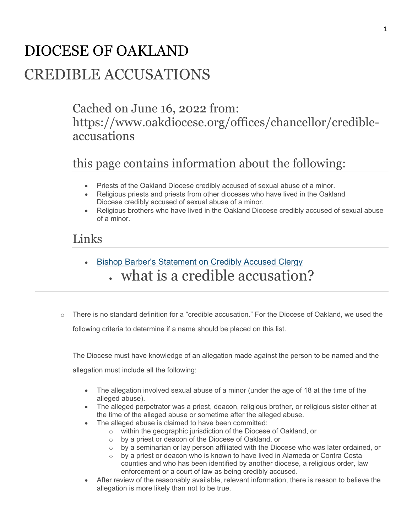# DIOCESE OF OAKLAND

## CREDIBLE ACCUSATIONS

#### Cached on June 16, 2022 from: https://www.oakdiocese.org/offices/chancellor/credibleaccusations

### this page contains information about the following:

- Priests of the Oakland Diocese credibly accused of sexual abuse of a minor.
- Religious priests and priests from other dioceses who have lived in the Oakland Diocese credibly accused of sexual abuse of a minor.
- Religious brothers who have lived in the Oakland Diocese credibly accused of sexual abuse of a minor.

#### Links

- Bishop Barber's Statement on Credibly Accused Clergy what is a credible accusation?
- $\circ$  There is no standard definition for a "credible accusation." For the Diocese of Oakland, we used the following criteria to determine if a name should be placed on this list.

The Diocese must have knowledge of an allegation made against the person to be named and the allegation must include all the following:

- The allegation involved sexual abuse of a minor (under the age of 18 at the time of the alleged abuse).
- The alleged perpetrator was a priest, deacon, religious brother, or religious sister either at the time of the alleged abuse or sometime after the alleged abuse.
- The alleged abuse is claimed to have been committed:
	- o within the geographic jurisdiction of the Diocese of Oakland, or
	- o by a priest or deacon of the Diocese of Oakland, or
	- $\circ$  by a seminarian or lay person affiliated with the Diocese who was later ordained, or
	- $\circ$  by a priest or deacon who is known to have lived in Alameda or Contra Costa counties and who has been identified by another diocese, a religious order, law enforcement or a court of law as being credibly accused.
- After review of the reasonably available, relevant information, there is reason to believe the allegation is more likely than not to be true.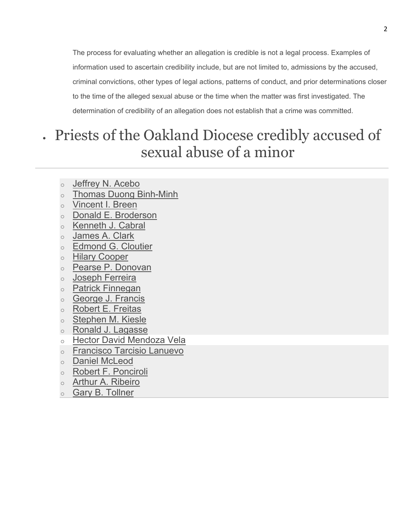The process for evaluating whether an allegation is credible is not a legal process. Examples of information used to ascertain credibility include, but are not limited to, admissions by the accused, criminal convictions, other types of legal actions, patterns of conduct, and prior determinations closer to the time of the alleged sexual abuse or the time when the matter was first investigated. The determination of credibility of an allegation does not establish that a crime was committed.

## Priests of the Oakland Diocese credibly accused of sexual abuse of a minor

- o Jeffrey N. Acebo
- o Thomas Duong Binh-Minh
- o Vincent I. Breen
- o Donald E. Broderson
- o Kenneth J. Cabral
- o James A. Clark
- o Edmond G. Cloutier
- o Hilary Cooper
- o Pearse P. Donovan
- o Joseph Ferreira
- o Patrick Finnegan
- o George J. Francis
- o Robert E. Freitas
- o Stephen M. Kiesle
- o Ronald J. Lagasse
- o Hector David Mendoza Vela
- o Francisco Tarcisio Lanuevo
- o Daniel McLeod
- o Robert F. Ponciroli
- o **Arthur A. Ribeiro**
- o Gary B. Tollner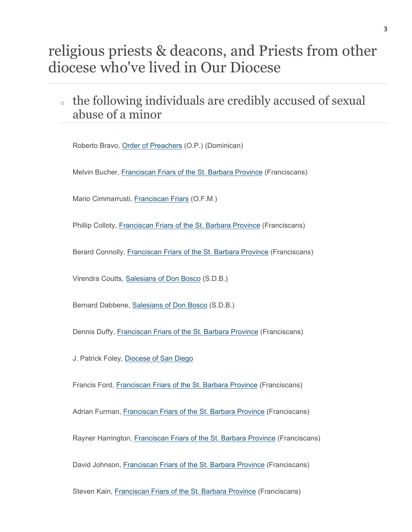## religious priests & deacons, and Priests from other diocese who've lived in Our Diocese

<sup>o</sup> the following individuals are credibly accused of sexual abuse of a minor

Roberto Bravo, Order of Preachers (O.P.) (Dominican)

Melvin Bucher, Franciscan Friars of the St. Barbara Province (Franciscans)

Mario Cimmarrusti, Franciscan Friars (O.F.M.)

Phillip Colloty, Franciscan Friars of the St. Barbara Province (Franciscans)

Berard Connolly, Franciscan Friars of the St. Barbara Province (Franciscans)

Virendra Coutts, Salesians of Don Bosco (S.D.B.)

Bernard Dabbene, Salesians of Don Bosco (S.D.B.)

Dennis Duffy, Franciscan Friars of the St. Barbara Province (Franciscans)

J. Patrick Foley, Diocese of San Diego

Francis Ford, Franciscan Friars of the St. Barbara Province (Franciscans)

Adrian Furman, Franciscan Friars of the St. Barbara Province (Franciscans)

Rayner Harrington, Franciscan Friars of the St. Barbara Province (Franciscans)

David Johnson, Franciscan Friars of the St. Barbara Province (Franciscans)

Steven Kain, Franciscan Friars of the St. Barbara Province (Franciscans)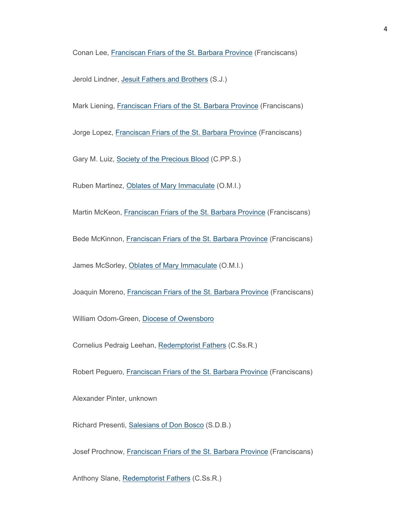Conan Lee, Franciscan Friars of the St. Barbara Province (Franciscans)

Jerold Lindner, Jesuit Fathers and Brothers (S.J.)

Mark Liening, Franciscan Friars of the St. Barbara Province (Franciscans)

Jorge Lopez, Franciscan Friars of the St. Barbara Province (Franciscans)

Gary M. Luiz, Society of the Precious Blood (C.PP.S.)

Ruben Martinez, Oblates of Mary Immaculate (O.M.I.)

Martin McKeon, Franciscan Friars of the St. Barbara Province (Franciscans)

Bede McKinnon, Franciscan Friars of the St. Barbara Province (Franciscans)

James McSorley, Oblates of Mary Immaculate (O.M.I.)

Joaquin Moreno, Franciscan Friars of the St. Barbara Province (Franciscans)

William Odom-Green, Diocese of Owensboro

Cornelius Pedraig Leehan, Redemptorist Fathers (C.Ss.R.)

Robert Peguero, Franciscan Friars of the St. Barbara Province (Franciscans)

Alexander Pinter, unknown

Richard Presenti, Salesians of Don Bosco (S.D.B.)

Josef Prochnow, Franciscan Friars of the St. Barbara Province (Franciscans)

Anthony Slane, Redemptorist Fathers (C.Ss.R.)